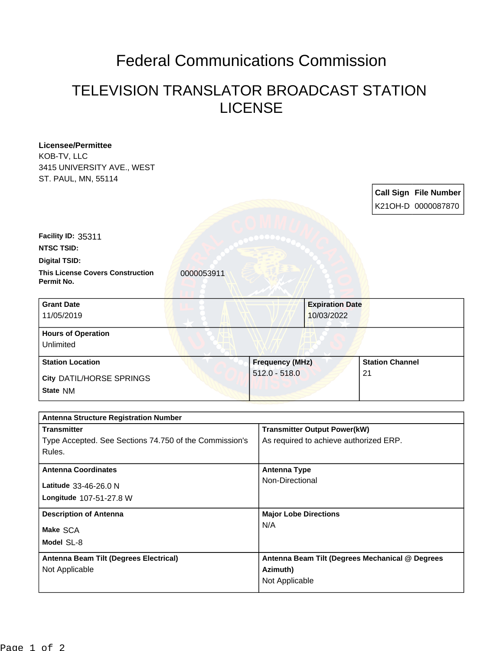## Federal Communications Commission

## TELEVISION TRANSLATOR BROADCAST STATION LICENSE

| <b>Licensee/Permittee</b>                                           |                 |                                                  |                                                 |  |
|---------------------------------------------------------------------|-----------------|--------------------------------------------------|-------------------------------------------------|--|
| KOB-TV, LLC                                                         |                 |                                                  |                                                 |  |
| 3415 UNIVERSITY AVE., WEST                                          |                 |                                                  |                                                 |  |
| ST. PAUL, MN, 55114                                                 |                 |                                                  |                                                 |  |
|                                                                     |                 |                                                  | <b>Call Sign File Number</b>                    |  |
|                                                                     |                 |                                                  | K21OH-D 0000087870                              |  |
|                                                                     |                 |                                                  |                                                 |  |
| Facility ID: 35311                                                  |                 |                                                  |                                                 |  |
| <b>NTSC TSID:</b>                                                   |                 |                                                  |                                                 |  |
| <b>Digital TSID:</b>                                                |                 |                                                  |                                                 |  |
| <b>This License Covers Construction</b><br>0000053911<br>Permit No. |                 |                                                  |                                                 |  |
| <b>Grant Date</b>                                                   |                 | <b>Expiration Date</b>                           |                                                 |  |
| 11/05/2019                                                          | 10/03/2022      |                                                  |                                                 |  |
| <b>Hours of Operation</b>                                           |                 |                                                  |                                                 |  |
| Unlimited                                                           |                 |                                                  |                                                 |  |
| <b>Station Location</b>                                             |                 | <b>Station Channel</b><br><b>Frequency (MHz)</b> |                                                 |  |
| City DATIL/HORSE SPRINGS                                            | $512.0 - 518.0$ |                                                  | 21                                              |  |
| State NM                                                            |                 |                                                  |                                                 |  |
|                                                                     |                 |                                                  |                                                 |  |
| <b>Antenna Structure Registration Number</b>                        |                 |                                                  |                                                 |  |
| <b>Transmitter</b>                                                  |                 | <b>Transmitter Output Power(kW)</b>              |                                                 |  |
| Type Accepted. See Sections 74.750 of the Commission's              |                 | As required to achieve authorized ERP.           |                                                 |  |
| Rules.                                                              |                 |                                                  |                                                 |  |
| <b>Antenna Coordinates</b>                                          |                 | <b>Antenna Type</b>                              |                                                 |  |
| Latitude 33-46-26.0 N                                               | Non-Directional |                                                  |                                                 |  |
| Longitude 107-51-27.8 W                                             |                 |                                                  |                                                 |  |
|                                                                     |                 |                                                  |                                                 |  |
| <b>Description of Antenna</b>                                       |                 | <b>Major Lobe Directions</b>                     |                                                 |  |
| Make SCA                                                            | N/A             |                                                  |                                                 |  |
| Model SL-8                                                          |                 |                                                  |                                                 |  |
| Antenna Beam Tilt (Degrees Electrical)                              |                 |                                                  | Antenna Beam Tilt (Degrees Mechanical @ Degrees |  |
| Not Applicable                                                      | Azimuth)        |                                                  |                                                 |  |
|                                                                     |                 | Not Applicable                                   |                                                 |  |
|                                                                     |                 |                                                  |                                                 |  |